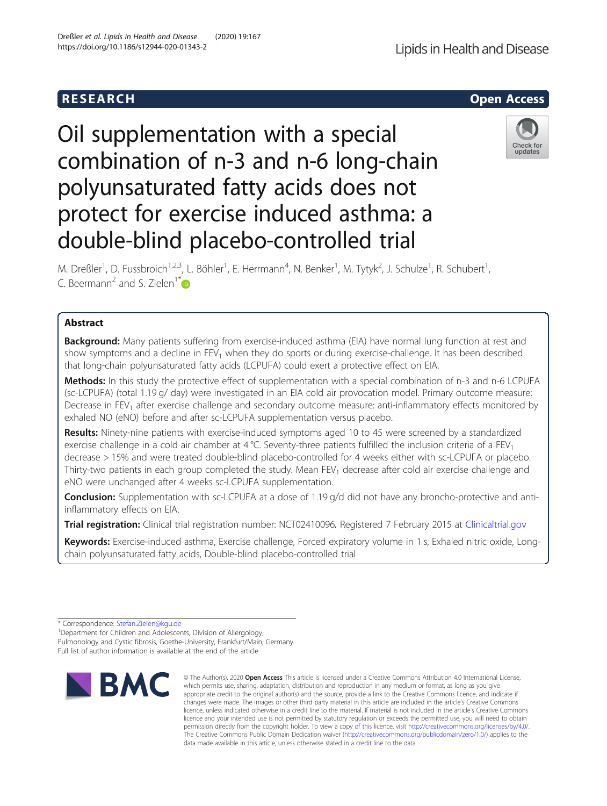# Oil supplementation with a special combination of n-3 and n-6 long-chain polyunsaturated fatty acids does not protect for exercise induced asthma: a double-blind placebo-controlled trial

M. Dreßler<sup>1</sup>, D. Fussbroich<sup>1,2,3</sup>, L. Böhler<sup>1</sup>, E. Herrmann<sup>4</sup>, N. Benker<sup>1</sup>, M. Tytyk<sup>2</sup>, J. Schulze<sup>1</sup>, R. Schubert<sup>1</sup> , C. Beermann<sup>2</sup> and S. Zielen<sup>1\*</sup>

# Abstract

**Background:** Many patients suffering from exercise-induced asthma (EIA) have normal lung function at rest and show symptoms and a decline in FEV<sub>1</sub> when they do sports or during exercise-challenge. It has been described that long-chain polyunsaturated fatty acids (LCPUFA) could exert a protective effect on EIA.

Methods: In this study the protective effect of supplementation with a special combination of n-3 and n-6 LCPUFA (sc-LCPUFA) (total 1.19 g/ day) were investigated in an EIA cold air provocation model. Primary outcome measure: Decrease in FEV<sub>1</sub> after exercise challenge and secondary outcome measure: anti-inflammatory effects monitored by exhaled NO (eNO) before and after sc-LCPUFA supplementation versus placebo.

Results: Ninety-nine patients with exercise-induced symptoms aged 10 to 45 were screened by a standardized exercise challenge in a cold air chamber at 4 °C. Seventy-three patients fulfilled the inclusion criteria of a  $FEV<sub>1</sub>$ decrease > 15% and were treated double-blind placebo-controlled for 4 weeks either with sc-LCPUFA or placebo. Thirty-two patients in each group completed the study. Mean FEV<sub>1</sub> decrease after cold air exercise challenge and eNO were unchanged after 4 weeks sc-LCPUFA supplementation.

Conclusion: Supplementation with sc-LCPUFA at a dose of 1.19 g/d did not have any broncho-protective and antiinflammatory effects on EIA.

Trial registration: Clinical trial registration number: NCT02410096. Registered 7 February 2015 at [Clinicaltrial.gov](http://clinicaltrial.gov)

Keywords: Exercise-induced asthma, Exercise challenge, Forced expiratory volume in 1 s, Exhaled nitric oxide, Longchain polyunsaturated fatty acids, Double-blind placebo-controlled trial

**BMC** 

© The Author(s), 2020 **Open Access** This article is licensed under a Creative Commons Attribution 4.0 International License, which permits use, sharing, adaptation, distribution and reproduction in any medium or format, as long as you give



updates



<sup>\*</sup> Correspondence: [Stefan.Zielen@kgu.de](mailto:Stefan.Zielen@kgu.de) <sup>1</sup>

Department for Children and Adolescents, Division of Allergology, Pulmonology and Cystic fibrosis, Goethe-University, Frankfurt/Main, Germany Full list of author information is available at the end of the article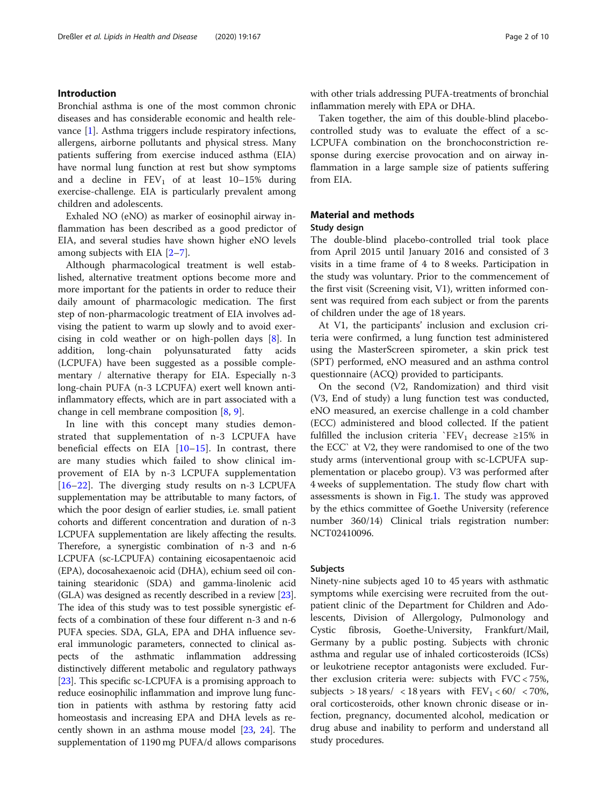# Introduction

Bronchial asthma is one of the most common chronic diseases and has considerable economic and health relevance [\[1](#page-8-0)]. Asthma triggers include respiratory infections, allergens, airborne pollutants and physical stress. Many patients suffering from exercise induced asthma (EIA) have normal lung function at rest but show symptoms and a decline in  $FEV_1$  of at least  $10-15%$  during exercise-challenge. EIA is particularly prevalent among children and adolescents.

Exhaled NO (eNO) as marker of eosinophil airway inflammation has been described as a good predictor of EIA, and several studies have shown higher eNO levels among subjects with EIA [\[2](#page-8-0)–[7](#page-9-0)].

Although pharmacological treatment is well established, alternative treatment options become more and more important for the patients in order to reduce their daily amount of pharmacologic medication. The first step of non-pharmacologic treatment of EIA involves advising the patient to warm up slowly and to avoid exercising in cold weather or on high-pollen days [\[8](#page-9-0)]. In addition, long-chain polyunsaturated fatty acids (LCPUFA) have been suggested as a possible complementary / alternative therapy for EIA. Especially n-3 long-chain PUFA (n-3 LCPUFA) exert well known antiinflammatory effects, which are in part associated with a change in cell membrane composition [\[8](#page-9-0), [9](#page-9-0)].

In line with this concept many studies demonstrated that supplementation of n-3 LCPUFA have beneficial effects on EIA  $[10-15]$  $[10-15]$  $[10-15]$  $[10-15]$ . In contrast, there are many studies which failed to show clinical improvement of EIA by n-3 LCPUFA supplementation [[16](#page-9-0)–[22\]](#page-9-0). The diverging study results on n-3 LCPUFA supplementation may be attributable to many factors, of which the poor design of earlier studies, i.e. small patient cohorts and different concentration and duration of n-3 LCPUFA supplementation are likely affecting the results. Therefore, a synergistic combination of n-3 and n-6 LCPUFA (sc-LCPUFA) containing eicosapentaenoic acid (EPA), docosahexaenoic acid (DHA), echium seed oil containing stearidonic (SDA) and gamma-linolenic acid (GLA) was designed as recently described in a review [[23](#page-9-0)]. The idea of this study was to test possible synergistic effects of a combination of these four different n-3 and n-6 PUFA species. SDA, GLA, EPA and DHA influence several immunologic parameters, connected to clinical aspects of the asthmatic inflammation addressing distinctively different metabolic and regulatory pathways [[23](#page-9-0)]. This specific sc-LCPUFA is a promising approach to reduce eosinophilic inflammation and improve lung function in patients with asthma by restoring fatty acid homeostasis and increasing EPA and DHA levels as recently shown in an asthma mouse model [\[23,](#page-9-0) [24\]](#page-9-0). The supplementation of 1190 mg PUFA/d allows comparisons with other trials addressing PUFA-treatments of bronchial inflammation merely with EPA or DHA.

Taken together, the aim of this double-blind placebocontrolled study was to evaluate the effect of a sc-LCPUFA combination on the bronchoconstriction response during exercise provocation and on airway inflammation in a large sample size of patients suffering from EIA.

# Material and methods Study design

The double-blind placebo-controlled trial took place from April 2015 until January 2016 and consisted of 3 visits in a time frame of 4 to 8 weeks. Participation in the study was voluntary. Prior to the commencement of the first visit (Screening visit, V1), written informed consent was required from each subject or from the parents of children under the age of 18 years.

At V1, the participants' inclusion and exclusion criteria were confirmed, a lung function test administered using the MasterScreen spirometer, a skin prick test (SPT) performed, eNO measured and an asthma control questionnaire (ACQ) provided to participants.

On the second (V2, Randomization) and third visit (V3, End of study) a lung function test was conducted, eNO measured, an exercise challenge in a cold chamber (ECC) administered and blood collected. If the patient fulfilled the inclusion criteria `FEV<sub>1</sub> decrease ≥15% in the ECC` at V2, they were randomised to one of the two study arms (interventional group with sc-LCPUFA supplementation or placebo group). V3 was performed after 4 weeks of supplementation. The study flow chart with assessments is shown in Fig.[1.](#page-2-0) The study was approved by the ethics committee of Goethe University (reference number 360/14) Clinical trials registration number: NCT02410096.

## Subjects

Ninety-nine subjects aged 10 to 45 years with asthmatic symptoms while exercising were recruited from the outpatient clinic of the Department for Children and Adolescents, Division of Allergology, Pulmonology and Cystic fibrosis, Goethe-University, Frankfurt/Mail, Germany by a public posting. Subjects with chronic asthma and regular use of inhaled corticosteroids (ICSs) or leukotriene receptor antagonists were excluded. Further exclusion criteria were: subjects with FVC < 75%, subjects > 18 years/ < 18 years with  $FEV_1 < 60/ < 70\%$ , oral corticosteroids, other known chronic disease or infection, pregnancy, documented alcohol, medication or drug abuse and inability to perform and understand all study procedures.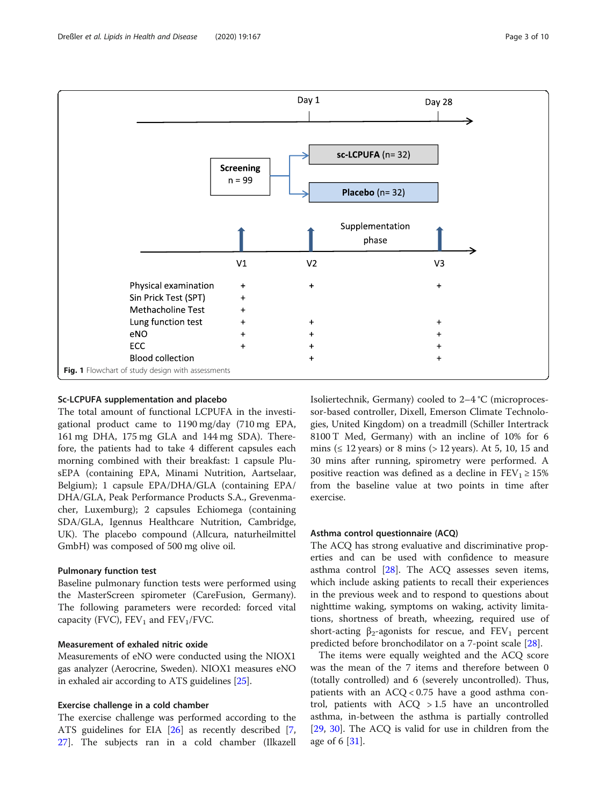<span id="page-2-0"></span>

# Sc-LCPUFA supplementation and placebo

The total amount of functional LCPUFA in the investigational product came to 1190 mg/day (710 mg EPA, 161 mg DHA, 175 mg GLA and 144 mg SDA). Therefore, the patients had to take 4 different capsules each morning combined with their breakfast: 1 capsule PlusEPA (containing EPA, Minami Nutrition, Aartselaar, Belgium); 1 capsule EPA/DHA/GLA (containing EPA/ DHA/GLA, Peak Performance Products S.A., Grevenmacher, Luxemburg); 2 capsules Echiomega (containing SDA/GLA, Igennus Healthcare Nutrition, Cambridge, UK). The placebo compound (Allcura, naturheilmittel GmbH) was composed of 500 mg olive oil.

# Pulmonary function test

Baseline pulmonary function tests were performed using the MasterScreen spirometer (CareFusion, Germany). The following parameters were recorded: forced vital capacity (FVC),  $FEV_1$  and  $FEV_1/FVC$ .

# Measurement of exhaled nitric oxide

Measurements of eNO were conducted using the NIOX1 gas analyzer (Aerocrine, Sweden). NIOX1 measures eNO in exhaled air according to ATS guidelines [\[25\]](#page-9-0).

# Exercise challenge in a cold chamber

The exercise challenge was performed according to the ATS guidelines for EIA [\[26](#page-9-0)] as recently described [\[7](#page-9-0), [27\]](#page-9-0). The subjects ran in a cold chamber (Ilkazell Isoliertechnik, Germany) cooled to 2–4 °C (microprocessor-based controller, Dixell, Emerson Climate Technologies, United Kingdom) on a treadmill (Schiller Intertrack 8100 T Med, Germany) with an incline of 10% for 6 mins ( $\leq 12$  years) or 8 mins ( $> 12$  years). At 5, 10, 15 and 30 mins after running, spirometry were performed. A positive reaction was defined as a decline in  $FEV_1 \ge 15\%$ from the baseline value at two points in time after exercise.

## Asthma control questionnaire (ACQ)

The ACQ has strong evaluative and discriminative properties and can be used with confidence to measure asthma control [\[28\]](#page-9-0). The ACQ assesses seven items, which include asking patients to recall their experiences in the previous week and to respond to questions about nighttime waking, symptoms on waking, activity limitations, shortness of breath, wheezing, required use of short-acting  $\beta_2$ -agonists for rescue, and FEV<sub>1</sub> percent predicted before bronchodilator on a 7-point scale [[28](#page-9-0)].

The items were equally weighted and the ACQ score was the mean of the 7 items and therefore between 0 (totally controlled) and 6 (severely uncontrolled). Thus, patients with an  $ACQ < 0.75$  have a good asthma control, patients with ACQ > 1.5 have an uncontrolled asthma, in-between the asthma is partially controlled [[29,](#page-9-0) [30](#page-9-0)]. The ACQ is valid for use in children from the age of 6 [\[31\]](#page-9-0).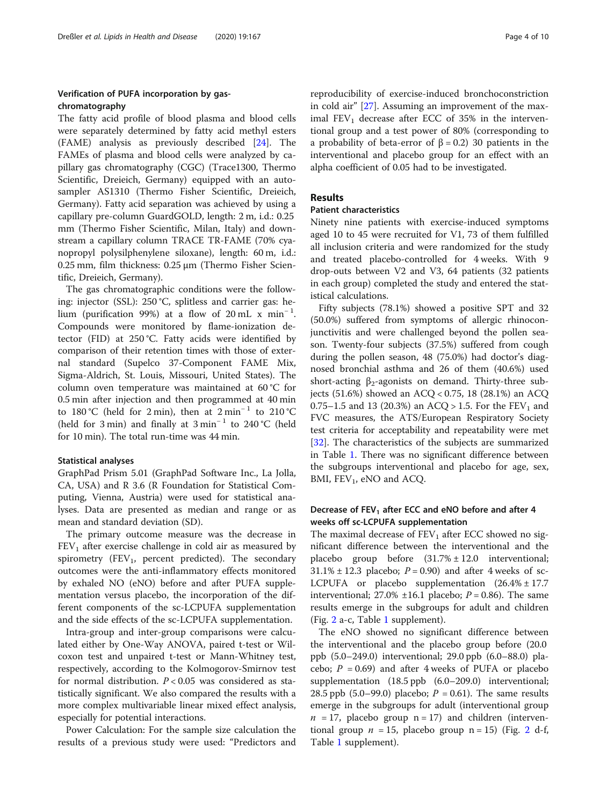# Verification of PUFA incorporation by gaschromatography

The fatty acid profile of blood plasma and blood cells were separately determined by fatty acid methyl esters (FAME) analysis as previously described [\[24](#page-9-0)]. The FAMEs of plasma and blood cells were analyzed by capillary gas chromatography (CGC) (Trace1300, Thermo Scientific, Dreieich, Germany) equipped with an autosampler AS1310 (Thermo Fisher Scientific, Dreieich, Germany). Fatty acid separation was achieved by using a capillary pre-column GuardGOLD, length: 2 m, i.d.: 0.25 mm (Thermo Fisher Scientific, Milan, Italy) and downstream a capillary column TRACE TR-FAME (70% cyanopropyl polysilphenylene siloxane), length: 60 m, i.d.: 0.25 mm, film thickness: 0.25 μm (Thermo Fisher Scientific, Dreieich, Germany).

The gas chromatographic conditions were the following: injector (SSL): 250 °C, splitless and carrier gas: helium (purification 99%) at a flow of 20 mL  $\text{x min}^{-1}$ . Compounds were monitored by flame-ionization detector (FID) at 250 °C. Fatty acids were identified by comparison of their retention times with those of external standard (Supelco 37-Component FAME Mix, Sigma-Aldrich, St. Louis, Missouri, United States). The column oven temperature was maintained at 60 °C for 0.5 min after injection and then programmed at 40 min to 180 °C (held for 2 min), then at  $2 \text{ min}^{-1}$  to 210 °C (held for 3 min) and finally at  $3 \text{ min}^{-1}$  to 240 °C (held for 10 min). The total run-time was 44 min.

## Statistical analyses

GraphPad Prism 5.01 (GraphPad Software Inc., La Jolla, CA, USA) and R 3.6 (R Foundation for Statistical Computing, Vienna, Austria) were used for statistical analyses. Data are presented as median and range or as mean and standard deviation (SD).

The primary outcome measure was the decrease in  $FEV<sub>1</sub>$  after exercise challenge in cold air as measured by spirometry  $(FEV_1,$  percent predicted). The secondary outcomes were the anti-inflammatory effects monitored by exhaled NO (eNO) before and after PUFA supplementation versus placebo, the incorporation of the different components of the sc-LCPUFA supplementation and the side effects of the sc-LCPUFA supplementation.

Intra-group and inter-group comparisons were calculated either by One-Way ANOVA, paired t-test or Wilcoxon test and unpaired t-test or Mann-Whitney test, respectively, according to the Kolmogorov-Smirnov test for normal distribution.  $P < 0.05$  was considered as statistically significant. We also compared the results with a more complex multivariable linear mixed effect analysis, especially for potential interactions.

Power Calculation: For the sample size calculation the results of a previous study were used: "Predictors and

reproducibility of exercise-induced bronchoconstriction in cold air" [[27\]](#page-9-0). Assuming an improvement of the maximal  $FEV_1$  decrease after ECC of 35% in the interventional group and a test power of 80% (corresponding to a probability of beta-error of β = 0.2) 30 patients in the interventional and placebo group for an effect with an alpha coefficient of 0.05 had to be investigated.

# Results

# Patient characteristics

Ninety nine patients with exercise-induced symptoms aged 10 to 45 were recruited for V1, 73 of them fulfilled all inclusion criteria and were randomized for the study and treated placebo-controlled for 4 weeks. With 9 drop-outs between V2 and V3, 64 patients (32 patients in each group) completed the study and entered the statistical calculations.

Fifty subjects (78.1%) showed a positive SPT and 32 (50.0%) suffered from symptoms of allergic rhinoconjunctivitis and were challenged beyond the pollen season. Twenty-four subjects (37.5%) suffered from cough during the pollen season, 48 (75.0%) had doctor's diagnosed bronchial asthma and 26 of them (40.6%) used short-acting  $\beta_2$ -agonists on demand. Thirty-three subjects (51.6%) showed an ACQ < 0.75, 18 (28.1%) an ACQ 0.75–1.5 and 13 (20.3%) an ACQ > 1.5. For the  $FEV_1$  and FVC measures, the ATS/European Respiratory Society test criteria for acceptability and repeatability were met [[32\]](#page-9-0). The characteristics of the subjects are summarized in Table [1](#page-4-0). There was no significant difference between the subgroups interventional and placebo for age, sex, BMI,  $FEV_1$ , eNO and ACQ.

# Decrease of  $FEV<sub>1</sub>$  after ECC and eNO before and after 4 weeks off sc-LCPUFA supplementation

The maximal decrease of  $FEV<sub>1</sub>$  after ECC showed no significant difference between the interventional and the placebo group before (31.7% ± 12.0 interventional;  $31.1\% \pm 12.3$  placebo;  $P = 0.90$ ) and after 4 weeks of sc-LCPUFA or placebo supplementation (26.4% ± 17.7 interventional; 27.0%  $\pm 16.1$  placebo;  $P = 0.86$ ). The same results emerge in the subgroups for adult and children (Fig. [2](#page-5-0) a-c, Table [1](#page-4-0) supplement).

The eNO showed no significant difference between the interventional and the placebo group before (20.0 ppb (5.0–249.0) interventional; 29.0 ppb (6.0–88.0) placebo;  $P = 0.69$ ) and after 4 weeks of PUFA or placebo supplementation (18.5 ppb (6.0–209.0) interventional; 28.5 ppb (5.0–99.0) placebo;  $P = 0.61$ ). The same results emerge in the subgroups for adult (interventional group  $n = 17$ , placebo group  $n = 17$ ) and children (interventional group  $n = 15$ , placebo group  $n = 15$ ) (Fig. [2](#page-5-0) d-f, Table [1](#page-4-0) supplement).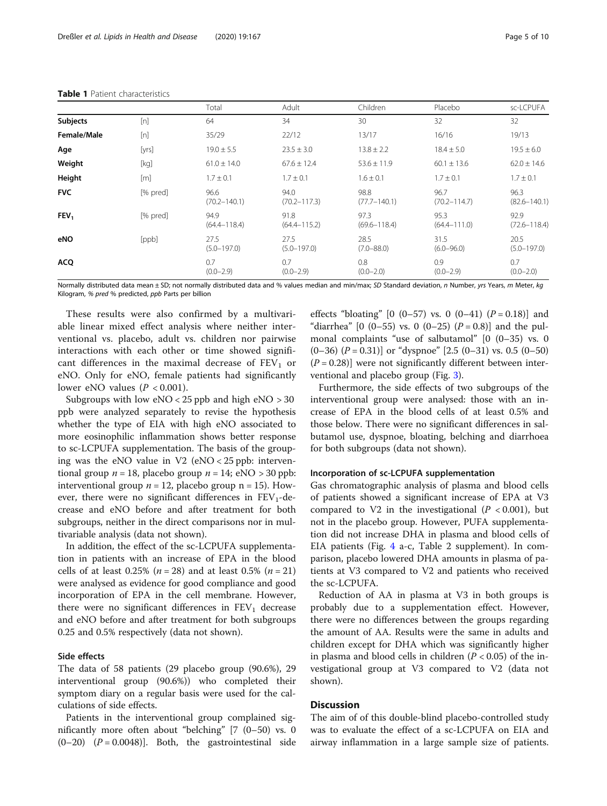|                  |          | Total                    | Adult                    | Children                 | Placebo                  | sc-LCPUFA                |
|------------------|----------|--------------------------|--------------------------|--------------------------|--------------------------|--------------------------|
| <b>Subjects</b>  | [n]      | 64                       | 34                       | 30                       | 32                       | 32                       |
| Female/Male      | [n]      | 35/29                    | 22/12                    | 13/17                    | 16/16                    | 19/13                    |
| Age              | [yrs]    | $19.0 \pm 5.5$           | $23.5 \pm 3.0$           | $13.8 \pm 2.2$           | $18.4 \pm 5.0$           | $19.5 \pm 6.0$           |
| Weight           | [kg]     | $61.0 \pm 14.0$          | $67.6 \pm 12.4$          | $53.6 \pm 11.9$          | $60.1 \pm 13.6$          | $62.0 \pm 14.6$          |
| Height           | [m]      | $1.7 \pm 0.1$            | $1.7 \pm 0.1$            | $1.6 \pm 0.1$            | $1.7 \pm 0.1$            | $1.7 \pm 0.1$            |
| <b>FVC</b>       | [% pred] | 96.6<br>$(70.2 - 140.1)$ | 94.0<br>$(70.2 - 117.3)$ | 98.8<br>$(77.7 - 140.1)$ | 96.7<br>$(70.2 - 114.7)$ | 96.3<br>$(82.6 - 140.1)$ |
| FEV <sub>1</sub> | [% pred] | 94.9<br>$(64.4 - 118.4)$ | 91.8<br>$(64.4 - 115.2)$ | 97.3<br>$(69.6 - 118.4)$ | 95.3<br>$(64.4 - 111.0)$ | 92.9<br>$(72.6 - 118.4)$ |
| eNO              | [ppb]    | 27.5<br>$(5.0 - 197.0)$  | 27.5<br>$(5.0 - 197.0)$  | 28.5<br>$(7.0 - 88.0)$   | 31.5<br>$(6.0 - 96.0)$   | 20.5<br>$(5.0 - 197.0)$  |
| <b>ACQ</b>       |          | 0.7<br>$(0.0 - 2.9)$     | 0.7<br>$(0.0 - 2.9)$     | 0.8<br>$(0.0 - 2.0)$     | 0.9<br>$(0.0 - 2.9)$     | 0.7<br>$(0.0 - 2.0)$     |

#### <span id="page-4-0"></span>Table 1 Patient characteristics

Normally distributed data mean ± SD; not normally distributed data and % values median and min/max; SD Standard deviation, n Number, yrs Years, m Meter, kg Kilogram, % pred % predicted, ppb Parts per billion

These results were also confirmed by a multivariable linear mixed effect analysis where neither interventional vs. placebo, adult vs. children nor pairwise interactions with each other or time showed significant differences in the maximal decrease of  $FEV<sub>1</sub>$  or eNO. Only for eNO, female patients had significantly lower eNO values  $(P < 0.001)$ .

Subgroups with low  $eNO < 25$  ppb and high  $eNO > 30$ ppb were analyzed separately to revise the hypothesis whether the type of EIA with high eNO associated to more eosinophilic inflammation shows better response to sc-LCPUFA supplementation. The basis of the grouping was the eNO value in V2 (eNO <  $25$  ppb: interventional group  $n = 18$ , placebo group  $n = 14$ ; eNO > 30 ppb: interventional group  $n = 12$ , placebo group  $n = 15$ ). However, there were no significant differences in  $FEV_1$ -decrease and eNO before and after treatment for both subgroups, neither in the direct comparisons nor in multivariable analysis (data not shown).

In addition, the effect of the sc-LCPUFA supplementation in patients with an increase of EPA in the blood cells of at least 0.25% ( $n = 28$ ) and at least 0.5% ( $n = 21$ ) were analysed as evidence for good compliance and good incorporation of EPA in the cell membrane. However, there were no significant differences in  $FEV<sub>1</sub>$  decrease and eNO before and after treatment for both subgroups 0.25 and 0.5% respectively (data not shown).

## Side effects

The data of 58 patients (29 placebo group (90.6%), 29 interventional group (90.6%)) who completed their symptom diary on a regular basis were used for the calculations of side effects.

Patients in the interventional group complained significantly more often about "belching" [7 (0–50) vs. 0  $(0-20)$   $(P = 0.0048)$ ]. Both, the gastrointestinal side

effects "bloating"  $[0 (0-57)$  vs. 0  $(0-41) (P = 0.18)]$  and "diarrhea" [0 (0–55) vs. 0 (0–25)  $(P = 0.8)$ ] and the pulmonal complaints "use of salbutamol" [0 (0–35) vs. 0  $(0-36)$   $(P = 0.31)$ ] or "dyspnoe" [2.5  $(0-31)$  vs. 0.5  $(0-50)$  $(P = 0.28)$ ] were not significantly different between interventional and placebo group (Fig. [3\)](#page-6-0).

Furthermore, the side effects of two subgroups of the interventional group were analysed: those with an increase of EPA in the blood cells of at least 0.5% and those below. There were no significant differences in salbutamol use, dyspnoe, bloating, belching and diarrhoea for both subgroups (data not shown).

# Incorporation of sc-LCPUFA supplementation

Gas chromatographic analysis of plasma and blood cells of patients showed a significant increase of EPA at V3 compared to V2 in the investigational  $(P < 0.001)$ , but not in the placebo group. However, PUFA supplementation did not increase DHA in plasma and blood cells of EIA patients (Fig. [4](#page-7-0) a-c, Table 2 supplement). In comparison, placebo lowered DHA amounts in plasma of patients at V3 compared to V2 and patients who received the sc-LCPUFA.

Reduction of AA in plasma at V3 in both groups is probably due to a supplementation effect. However, there were no differences between the groups regarding the amount of AA. Results were the same in adults and children except for DHA which was significantly higher in plasma and blood cells in children  $(P < 0.05)$  of the investigational group at V3 compared to V2 (data not shown).

# **Discussion**

The aim of of this double-blind placebo-controlled study was to evaluate the effect of a sc-LCPUFA on EIA and airway inflammation in a large sample size of patients.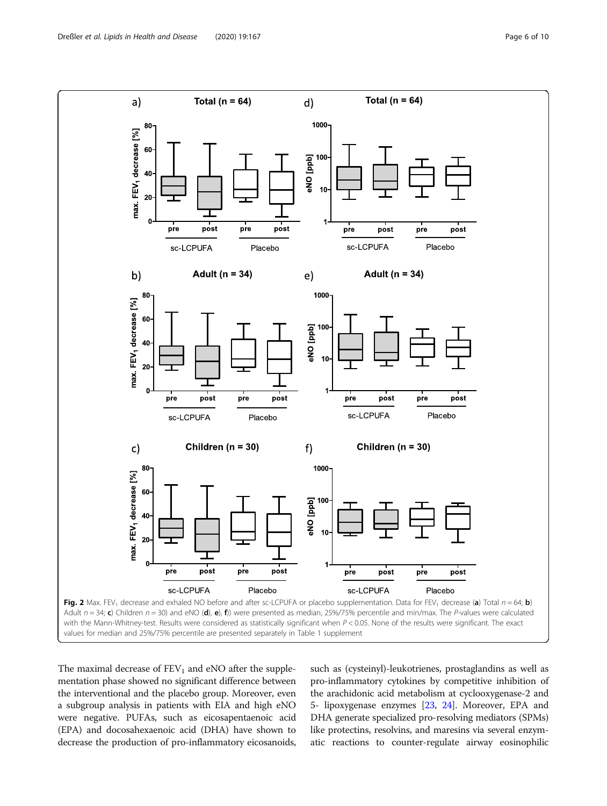<span id="page-5-0"></span>

The maximal decrease of  $FEV<sub>1</sub>$  and eNO after the supplementation phase showed no significant difference between the interventional and the placebo group. Moreover, even a subgroup analysis in patients with EIA and high eNO were negative. PUFAs, such as eicosapentaenoic acid (EPA) and docosahexaenoic acid (DHA) have shown to decrease the production of pro-inflammatory eicosanoids, such as (cysteinyl)-leukotrienes, prostaglandins as well as pro-inflammatory cytokines by competitive inhibition of the arachidonic acid metabolism at cyclooxygenase-2 and 5- lipoxygenase enzymes [\[23,](#page-9-0) [24\]](#page-9-0). Moreover, EPA and DHA generate specialized pro-resolving mediators (SPMs) like protectins, resolvins, and maresins via several enzymatic reactions to counter-regulate airway eosinophilic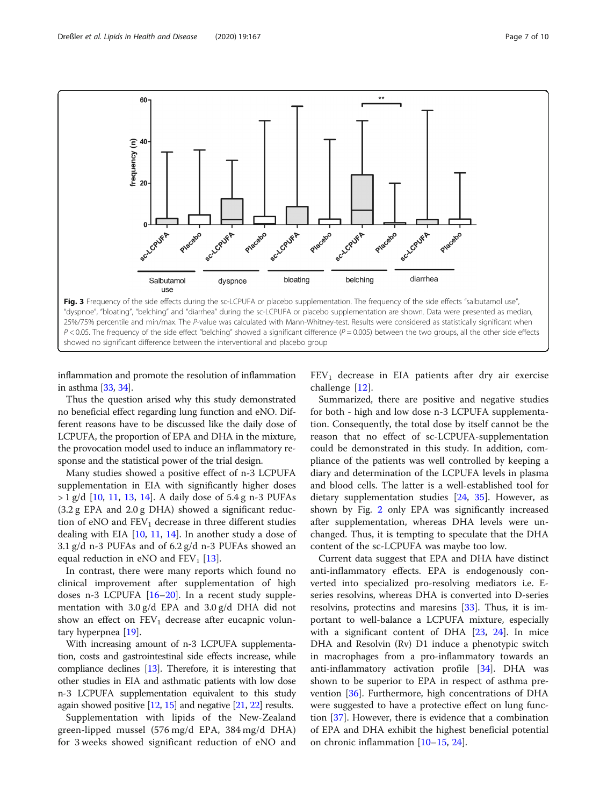<span id="page-6-0"></span>

inflammation and promote the resolution of inflammation in asthma [[33](#page-9-0), [34\]](#page-9-0).

Thus the question arised why this study demonstrated no beneficial effect regarding lung function and eNO. Different reasons have to be discussed like the daily dose of LCPUFA, the proportion of EPA and DHA in the mixture, the provocation model used to induce an inflammatory response and the statistical power of the trial design.

Many studies showed a positive effect of n-3 LCPUFA supplementation in EIA with significantly higher doses  $> 1 g/d$  [[10,](#page-9-0) [11](#page-9-0), [13,](#page-9-0) [14](#page-9-0)]. A daily dose of 5.4 g n-3 PUFAs (3.2 g EPA and 2.0 g DHA) showed a significant reduction of eNO and  $FEV<sub>1</sub>$  decrease in three different studies dealing with EIA [\[10](#page-9-0), [11,](#page-9-0) [14\]](#page-9-0). In another study a dose of 3.1 g/d n-3 PUFAs and of 6.2 g/d n-3 PUFAs showed an equal reduction in eNO and  $FEV<sub>1</sub>$  [\[13](#page-9-0)].

In contrast, there were many reports which found no clinical improvement after supplementation of high doses n-3 LCPUFA [[16](#page-9-0)–[20](#page-9-0)]. In a recent study supplementation with 3.0 g/d EPA and 3.0 g/d DHA did not show an effect on  $FEV_1$  decrease after eucapnic voluntary hyperpnea [[19\]](#page-9-0).

With increasing amount of n-3 LCPUFA supplementation, costs and gastrointestinal side effects increase, while compliance declines [[13](#page-9-0)]. Therefore, it is interesting that other studies in EIA and asthmatic patients with low dose n-3 LCPUFA supplementation equivalent to this study again showed positive [\[12,](#page-9-0) [15\]](#page-9-0) and negative [\[21,](#page-9-0) [22\]](#page-9-0) results.

Supplementation with lipids of the New-Zealand green-lipped mussel (576 mg/d EPA, 384 mg/d DHA) for 3 weeks showed significant reduction of eNO and  $FEV<sub>1</sub>$  decrease in EIA patients after dry air exercise challenge [[12\]](#page-9-0).

Summarized, there are positive and negative studies for both - high and low dose n-3 LCPUFA supplementation. Consequently, the total dose by itself cannot be the reason that no effect of sc-LCPUFA-supplementation could be demonstrated in this study. In addition, compliance of the patients was well controlled by keeping a diary and determination of the LCPUFA levels in plasma and blood cells. The latter is a well-established tool for dietary supplementation studies [\[24](#page-9-0), [35\]](#page-9-0). However, as shown by Fig. [2](#page-5-0) only EPA was significantly increased after supplementation, whereas DHA levels were unchanged. Thus, it is tempting to speculate that the DHA content of the sc-LCPUFA was maybe too low.

Current data suggest that EPA and DHA have distinct anti-inflammatory effects. EPA is endogenously converted into specialized pro-resolving mediators i.e. Eseries resolvins, whereas DHA is converted into D-series resolvins, protectins and maresins [[33\]](#page-9-0). Thus, it is important to well-balance a LCPUFA mixture, especially with a significant content of DHA [\[23](#page-9-0), [24\]](#page-9-0). In mice DHA and Resolvin (Rv) D1 induce a phenotypic switch in macrophages from a pro-inflammatory towards an anti-inflammatory activation profile  $[34]$  $[34]$ . DHA was shown to be superior to EPA in respect of asthma prevention [\[36](#page-9-0)]. Furthermore, high concentrations of DHA were suggested to have a protective effect on lung function [\[37](#page-9-0)]. However, there is evidence that a combination of EPA and DHA exhibit the highest beneficial potential on chronic inflammation [[10](#page-9-0)–[15,](#page-9-0) [24](#page-9-0)].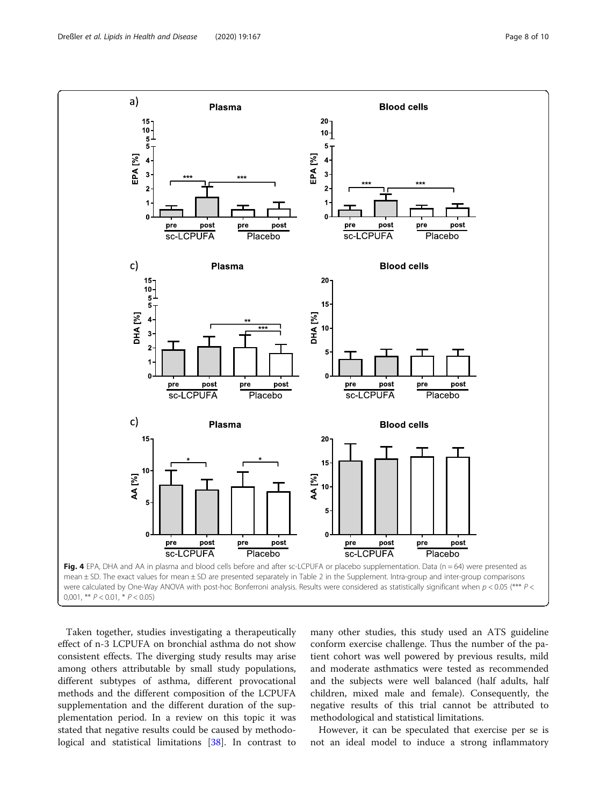<span id="page-7-0"></span>

Taken together, studies investigating a therapeutically effect of n-3 LCPUFA on bronchial asthma do not show consistent effects. The diverging study results may arise among others attributable by small study populations, different subtypes of asthma, different provocational methods and the different composition of the LCPUFA supplementation and the different duration of the supplementation period. In a review on this topic it was stated that negative results could be caused by methodological and statistical limitations [[38\]](#page-9-0). In contrast to

many other studies, this study used an ATS guideline conform exercise challenge. Thus the number of the patient cohort was well powered by previous results, mild and moderate asthmatics were tested as recommended and the subjects were well balanced (half adults, half children, mixed male and female). Consequently, the negative results of this trial cannot be attributed to methodological and statistical limitations.

However, it can be speculated that exercise per se is not an ideal model to induce a strong inflammatory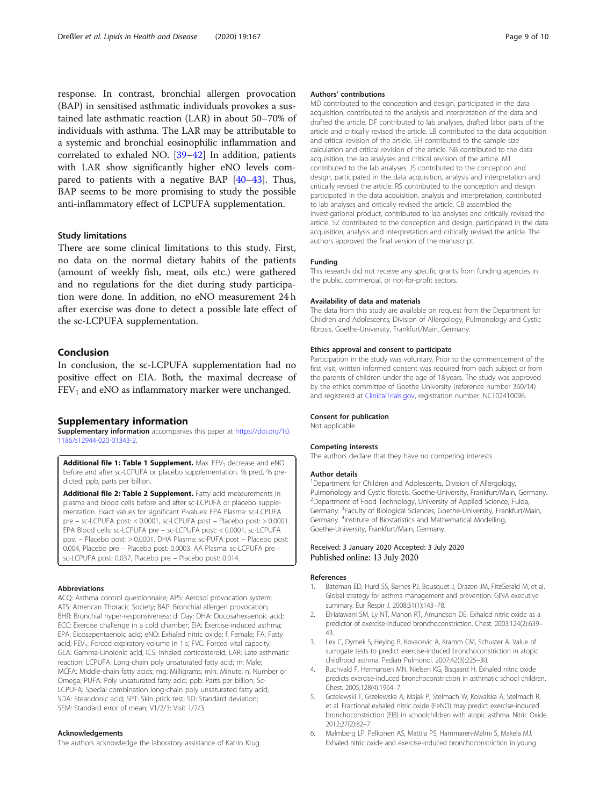<span id="page-8-0"></span>response. In contrast, bronchial allergen provocation (BAP) in sensitised asthmatic individuals provokes a sustained late asthmatic reaction (LAR) in about 50–70% of individuals with asthma. The LAR may be attributable to a systemic and bronchial eosinophilic inflammation and correlated to exhaled NO. [\[39](#page-9-0)–[42\]](#page-9-0) In addition, patients with LAR show significantly higher eNO levels compared to patients with a negative BAP [[40](#page-9-0)–[43](#page-9-0)]. Thus, BAP seems to be more promising to study the possible anti-inflammatory effect of LCPUFA supplementation.

#### Study limitations

There are some clinical limitations to this study. First, no data on the normal dietary habits of the patients (amount of weekly fish, meat, oils etc.) were gathered and no regulations for the diet during study participation were done. In addition, no eNO measurement 24 h after exercise was done to detect a possible late effect of the sc-LCPUFA supplementation.

# Conclusion

In conclusion, the sc-LCPUFA supplementation had no positive effect on EIA. Both, the maximal decrease of  $FEV<sub>1</sub>$  and eNO as inflammatory marker were unchanged.

#### Supplementary information

Supplementary information accompanies this paper at [https://doi.org/10.](https://doi.org/10.1186/s12944-020-01343-2) [1186/s12944-020-01343-2](https://doi.org/10.1186/s12944-020-01343-2).

Additional file 1: Table 1 Supplement. Max.  $FEV<sub>1</sub>$  decrease and eNO before and after sc-LCPUFA or placebo supplementation. % pred, % predicted; ppb, parts per billion.

Additional file 2: Table 2 Supplement. Fatty acid measurements in plasma and blood cells before and after sc-LCPUFA or placebo supplementation. Exact values for significant P-values: EPA Plasma: sc-LCPUFA pre – sc-LCPUFA post: < 0.0001, sc-LCPUFA post – Placebo post: > 0.0001. EPA Blood cells: sc-LCPUFA pre – sc-LCPUFA post: < 0.0001, sc-LCPUFA post – Placebo post: > 0.0001. DHA Plasma: sc-PUFA post – Placebo post: 0.004, Placebo pre – Placebo post: 0.0003. AA Plasma: sc-LCPUFA pre – sc-LCPUFA post: 0.037, Placebo pre – Placebo post: 0.014.

# Abbreviations

ACQ: Asthma control questionnaire; APS: Aerosol provocation system; ATS: American Thoracic Society; BAP: Bronchial allergen provocation; BHR: Bronchial hyper-responsiveness; d: Day; DHA: Docosahexaenoic acid; ECC: Exercise challenge in a cold chamber; EIA: Exercise-induced asthma; EPA: Eicosapentaenoic acid; eNO: Exhaled nitric oxide; f: Female; FA: Fatty acid; FEV<sub>1</sub>: Forced expiratory volume in 1 s; FVC: Forced vital capacity; GLA: Gamma-Linolenic acid; ICS: Inhaled corticosteroid; LAR: Late asthmatic reaction; LCPUFA: Long-chain poly unsaturated fatty acid; m: Male; MCFA: Middle-chain fatty acids; mg: Milligrams; min: Minute; n: Number or Omega; PUFA: Poly unsaturated fatty acid; ppb: Parts per billion; Sc-LCPUFA: Special combination long-chain poly unsaturated fatty acid; SDA: Stearidonic acid; SPT: Skin prick test; SD: Standard deviation; SEM: Standard error of mean; V1/2/3: Visit 1/2/3

# Acknowledgements

The authors acknowledge the laboratory assistance of Katrin Krug.

#### Authors' contributions

MD contributed to the conception and design, participated in the data acquisition, contributed to the analysis and interpretation of the data and drafted the article. DF contributed to lab analyses, drafted labor parts of the article and critically revised the article. LB contributed to the data acquisition and critical revision of the article. EH contributed to the sample size calculation and critical revision of the article. NB contributed to the data acquisition, the lab analyses and critical revision of the article. MT contributed to the lab analyses. JS contributed to the conception and design, participated in the data acquisition, analysis and interpretation and critically revised the article. RS contributed to the conception and design participated in the data acquisition, analysis and interpretation, contributed to lab analyses and critically revised the article. CB assembled the investigational product, contributed to lab analyses and critically revised the article. SZ contributed to the conception and design, participated in the data acquisition, analysis and interpretation and critically revised the article. The authors approved the final version of the manuscript.

#### Funding

This research did not receive any specific grants from funding agencies in the public, commercial, or not-for-profit sectors.

#### Availability of data and materials

The data from this study are available on request from the Department for Children and Adolescents, Division of Allergology, Pulmonology and Cystic fibrosis, Goethe-University, Frankfurt/Main, Germany.

## Ethics approval and consent to participate

Participation in the study was voluntary. Prior to the commencement of the first visit, written informed consent was required from each subject or from the parents of children under the age of 18 years. The study was approved by the ethics committee of Goethe University (reference number 360/14) and registered at [ClinicalTrials.gov](http://clinicaltrials.gov), registration number: NCT02410096.

#### Consent for publication

Not applicable.

#### Competing interests

The authors declare that they have no competing interests.

#### Author details

<sup>1</sup>Department for Children and Adolescents, Division of Allergology Pulmonology and Cystic fibrosis, Goethe-University, Frankfurt/Main, Germany. 2 Department of Food Technology, University of Applied Science, Fulda, Germany. <sup>3</sup>Faculty of Biological Sciences, Goethe-University, Frankfurt/Main Germany. <sup>4</sup> Institute of Biostatistics and Mathematical Modelling, Goethe-University, Frankfurt/Main, Germany.

#### Received: 3 January 2020 Accepted: 3 July 2020 Published online: 13 July 2020

#### References

- 1. Bateman ED, Hurd SS, Barnes PJ, Bousquet J, Drazen JM, FitzGerald M, et al. Global strategy for asthma management and prevention: GINA executive summary. Eur Respir J. 2008;31(1):143–78.
- 2. ElHalawani SM, Ly NT, Mahon RT, Amundson DE. Exhaled nitric oxide as a predictor of exercise-induced bronchoconstriction. Chest. 2003;124(2):639– 43.
- 3. Lex C, Dymek S, Heying R, Kovacevic A, Kramm CM, Schuster A. Value of surrogate tests to predict exercise-induced bronchoconstriction in atopic childhood asthma. Pediatr Pulmonol. 2007;42(3):225–30.
- 4. Buchvald F, Hermansen MN, Nielsen KG, Bisgaard H. Exhaled nitric oxide predicts exercise-induced bronchoconstriction in asthmatic school children. Chest. 2005;128(4):1964–7.
- 5. Grzelewski T, Grzelewska A, Majak P, Stelmach W, Kowalska A, Stelmach R, et al. Fractional exhaled nitric oxide (FeNO) may predict exercise-induced bronchoconstriction (EIB) in schoolchildren with atopic asthma. Nitric Oxide. 2012;27(2):82–7.
- 6. Malmberg LP, Pelkonen AS, Mattila PS, Hammaren-Malmi S, Makela MJ. Exhaled nitric oxide and exercise-induced bronchoconstriction in young